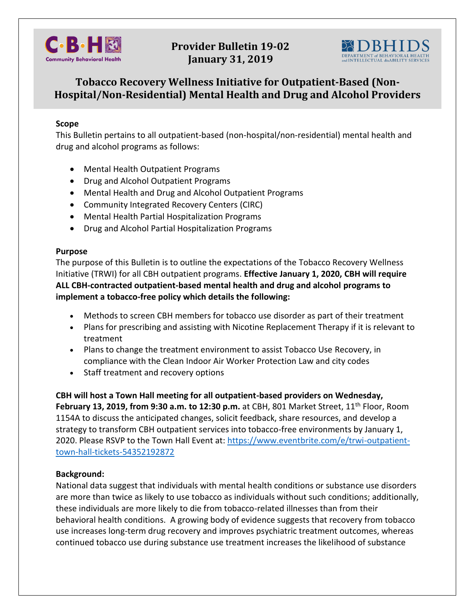

## **Provider Bulletin 19-02 January 31, 2019**



# **Tobacco Recovery Wellness Initiative for Outpatient-Based (Non-Hospital/Non-Residential) Mental Health and Drug and Alcohol Providers**

### **Scope**

This Bulletin pertains to all outpatient-based (non-hospital/non-residential) mental health and drug and alcohol programs as follows:

- Mental Health Outpatient Programs
- Drug and Alcohol Outpatient Programs
- Mental Health and Drug and Alcohol Outpatient Programs
- Community Integrated Recovery Centers (CIRC)
- Mental Health Partial Hospitalization Programs
- Drug and Alcohol Partial Hospitalization Programs

#### **Purpose**

The purpose of this Bulletin is to outline the expectations of the Tobacco Recovery Wellness Initiative (TRWI) for all CBH outpatient programs. **Effective January 1, 2020, CBH will require ALL CBH-contracted outpatient-based mental health and drug and alcohol programs to implement a tobacco-free policy which details the following:**

- Methods to screen CBH members for tobacco use disorder as part of their treatment
- Plans for prescribing and assisting with Nicotine Replacement Therapy if it is relevant to treatment
- Plans to change the treatment environment to assist Tobacco Use Recovery, in compliance with the Clean Indoor Air Worker Protection Law and city codes
- Staff treatment and recovery options

#### **CBH will host a Town Hall meeting for all outpatient-based providers on Wednesday,**

**February 13, 2019, from 9:30 a.m. to 12:30 p.m.** at CBH, 801 Market Street, 11<sup>th</sup> Floor, Room 1154A to discuss the anticipated changes, solicit feedback, share resources, and develop a strategy to transform CBH outpatient services into tobacco-free environments by January 1, 2020. Please RSVP to the Town Hall Event at: [https://www.eventbrite.com/e/trwi-outpatient](https://na01.safelinks.protection.outlook.com/?url=https%3A%2F%2Fwww.eventbrite.com%2Fe%2Ftrwi-outpatient-town-hall-tickets-54352192872&data=02%7C01%7CRyan.Skimmons%40Phila.gov%7Cfb29af91cabd4913cd0108d67a2efd04%7C2046864f68ea497daf34a6629a6cd700%7C0%7C0%7C636830739578066838&sdata=B1ZH8ItdtL3ZZkTvgY1xxWanE425XGqO8u9ca4wsSIY%3D&reserved=0)[town-hall-tickets-54352192872](https://na01.safelinks.protection.outlook.com/?url=https%3A%2F%2Fwww.eventbrite.com%2Fe%2Ftrwi-outpatient-town-hall-tickets-54352192872&data=02%7C01%7CRyan.Skimmons%40Phila.gov%7Cfb29af91cabd4913cd0108d67a2efd04%7C2046864f68ea497daf34a6629a6cd700%7C0%7C0%7C636830739578066838&sdata=B1ZH8ItdtL3ZZkTvgY1xxWanE425XGqO8u9ca4wsSIY%3D&reserved=0)

### **Background:**

National data suggest that individuals with mental health conditions or substance use disorders are more than twice as likely to use tobacco as individuals without such conditions; additionally, these individuals are more likely to die from tobacco-related illnesses than from their behavioral health conditions. A growing body of evidence suggests that recovery from tobacco use increases long-term drug recovery and improves psychiatric treatment outcomes, whereas continued tobacco use during substance use treatment increases the likelihood of substance